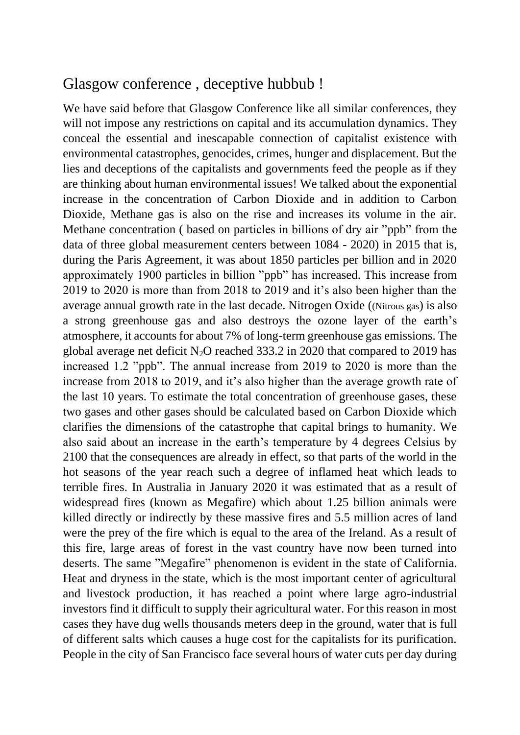## Glasgow conference , deceptive hubbub !

We have said before that Glasgow Conference like all similar conferences, they will not impose any restrictions on capital and its accumulation dynamics. They conceal the essential and inescapable connection of capitalist existence with environmental catastrophes, genocides, crimes, hunger and displacement. But the lies and deceptions of the capitalists and governments feed the people as if they are thinking about human environmental issues! We talked about the exponential increase in the concentration of Carbon Dioxide and in addition to Carbon Dioxide, Methane gas is also on the rise and increases its volume in the air. Methane concentration ( based on particles in billions of dry air "ppb" from the data of three global measurement centers between 1084 - 2020) in 2015 that is, during the Paris Agreement, it was about 1850 particles per billion and in 2020 approximately 1900 particles in billion "ppb" has increased. This increase from 2019 to 2020 is more than from 2018 to 2019 and it's also been higher than the average annual growth rate in the last decade. Nitrogen Oxide ((Nitrous gas) is also a strong greenhouse gas and also destroys the ozone layer of the earth's atmosphere, it accounts for about 7% of long-term greenhouse gas emissions. The global average net deficit  $N_2O$  reached 333.2 in 2020 that compared to 2019 has increased 1.2 "ppb". The annual increase from 2019 to 2020 is more than the increase from 2018 to 2019, and it's also higher than the average growth rate of the last 10 years. To estimate the total concentration of greenhouse gases, these two gases and other gases should be calculated based on Carbon Dioxide which clarifies the dimensions of the catastrophe that capital brings to humanity. We also said about an increase in the earth's temperature by 4 degrees Celsius by 2100 that the consequences are already in effect, so that parts of the world in the hot seasons of the year reach such a degree of inflamed heat which leads to terrible fires. In Australia in January 2020 it was estimated that as a result of widespread fires (known as Megafire) which about 1.25 billion animals were killed directly or indirectly by these massive fires and 5.5 million acres of land were the prey of the fire which is equal to the area of the Ireland. As a result of this fire, large areas of forest in the vast country have now been turned into deserts. The same "Megafire" phenomenon is evident in the state of California. Heat and dryness in the state, which is the most important center of agricultural and livestock production, it has reached a point where large agro-industrial investors find it difficult to supply their agricultural water. For this reason in most cases they have dug wells thousands meters deep in the ground, water that is full of different salts which causes a huge cost for the capitalists for its purification. People in the city of San Francisco face several hours of water cuts per day during